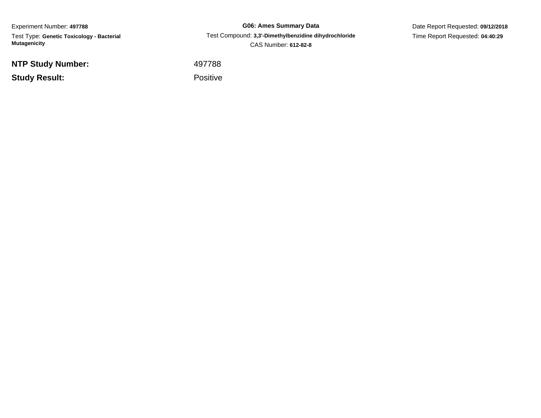Experiment Number: **497788**Test Type: **Genetic Toxicology - Bacterial Mutagenicity**

**NTP Study Number:**

**Study Result:**

**G06: Ames Summary Data** Test Compound: **3,3'-Dimethylbenzidine dihydrochloride**CAS Number: **612-82-8**

Date Report Requested: **09/12/2018**Time Report Requested: **04:40:29**

<sup>497788</sup>

Positive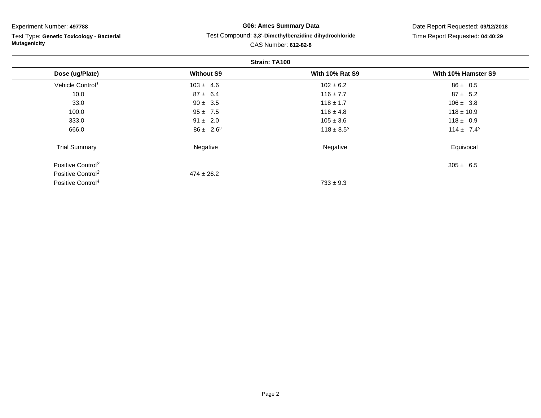Test Type: **Genetic Toxicology - Bacterial Mutagenicity**

#### **G06: Ames Summary Data**Test Compound: **3,3'-Dimethylbenzidine dihydrochloride**

Date Report Requested: **09/12/2018**Time Report Requested: **04:40:29**

|                               | Strain: TA100     |                        |                     |
|-------------------------------|-------------------|------------------------|---------------------|
| Dose (ug/Plate)               | <b>Without S9</b> | <b>With 10% Rat S9</b> | With 10% Hamster S9 |
| Vehicle Control <sup>1</sup>  | $103 \pm 4.6$     | $102 \pm 6.2$          | $86 \pm 0.5$        |
| 10.0                          | $87 \pm 6.4$      | $116 \pm 7.7$          | $87 \pm 5.2$        |
| 33.0                          | $90 \pm 3.5$      | $118 \pm 1.7$          | $106 \pm 3.8$       |
| 100.0                         | $95 \pm 7.5$      | $116 \pm 4.8$          | $118 \pm 10.9$      |
| 333.0                         | $91 \pm 2.0$      | $105 \pm 3.6$          | $118 \pm 0.9$       |
| 666.0                         | $86 \pm 2.6^s$    | $118 \pm 8.5^{s}$      | $114 \pm 7.4^s$     |
| <b>Trial Summary</b>          | Negative          | Negative               | Equivocal           |
| Positive Control <sup>2</sup> |                   |                        | $305 \pm 6.5$       |
| Positive Control <sup>3</sup> | $474 \pm 26.2$    |                        |                     |
| Positive Control <sup>4</sup> |                   | $733 \pm 9.3$          |                     |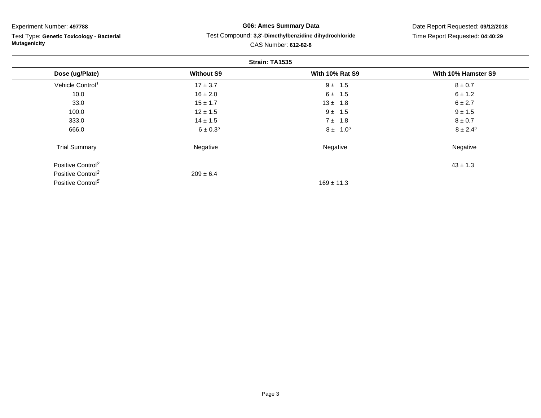Test Type: **Genetic Toxicology - Bacterial Mutagenicity**

#### **G06: Ames Summary Data**Test Compound: **3,3'-Dimethylbenzidine dihydrochloride**

Date Report Requested: **09/12/2018**Time Report Requested: **04:40:29**

|                               |                   | Strain: TA1535         |                     |
|-------------------------------|-------------------|------------------------|---------------------|
| Dose (ug/Plate)               | <b>Without S9</b> | <b>With 10% Rat S9</b> | With 10% Hamster S9 |
| Vehicle Control <sup>1</sup>  | $17 \pm 3.7$      | $9 \pm 1.5$            | $8 \pm 0.7$         |
| 10.0                          | $16 \pm 2.0$      | $6 \pm 1.5$            | $6 \pm 1.2$         |
| 33.0                          | $15 \pm 1.7$      | $13 \pm 1.8$           | 6 ± 2.7             |
| 100.0                         | $12 \pm 1.5$      | $9 \pm 1.5$            | $9 \pm 1.5$         |
| 333.0                         | $14 \pm 1.5$      | $7 \pm 1.8$            | $8 \pm 0.7$         |
| 666.0                         | $6 \pm 0.3^{s}$   | $8 \pm 1.0^s$          | $8 \pm 2.4^s$       |
| <b>Trial Summary</b>          | Negative          | Negative               | Negative            |
| Positive Control <sup>2</sup> |                   |                        | $43 \pm 1.3$        |
| Positive Control <sup>3</sup> | $209 \pm 6.4$     |                        |                     |
| Positive Control <sup>5</sup> |                   | $169 \pm 11.3$         |                     |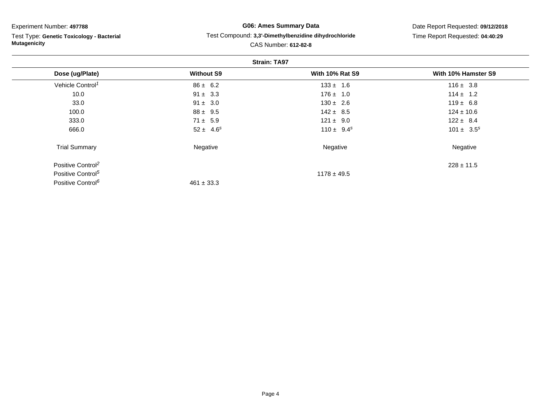Test Type: **Genetic Toxicology - Bacterial Mutagenicity**

#### **G06: Ames Summary Data**Test Compound: **3,3'-Dimethylbenzidine dihydrochloride**

Date Report Requested: **09/12/2018**Time Report Requested: **04:40:29**

|                               |                   | <b>Strain: TA97</b>    |                     |
|-------------------------------|-------------------|------------------------|---------------------|
| Dose (ug/Plate)               | <b>Without S9</b> | <b>With 10% Rat S9</b> | With 10% Hamster S9 |
| Vehicle Control <sup>1</sup>  | $86 \pm 6.2$      | $133 \pm 1.6$          | $116 \pm 3.8$       |
| 10.0                          | $91 \pm 3.3$      | $176 \pm 1.0$          | $114 \pm 1.2$       |
| 33.0                          | $91 \pm 3.0$      | $130 \pm 2.6$          | $119 \pm 6.8$       |
| 100.0                         | $88 \pm 9.5$      | $142 \pm 8.5$          | $124 \pm 10.6$      |
| 333.0                         | $71 \pm 5.9$      | $121 \pm 9.0$          | $122 \pm 8.4$       |
| 666.0                         | $52 \pm 4.6^s$    | $110 \pm 9.4^s$        | $101 \pm 3.5^s$     |
| <b>Trial Summary</b>          | Negative          | Negative               | Negative            |
| Positive Control <sup>2</sup> |                   |                        | $228 \pm 11.5$      |
| Positive Control <sup>5</sup> |                   | $1178 \pm 49.5$        |                     |
| Positive Control <sup>6</sup> | $461 \pm 33.3$    |                        |                     |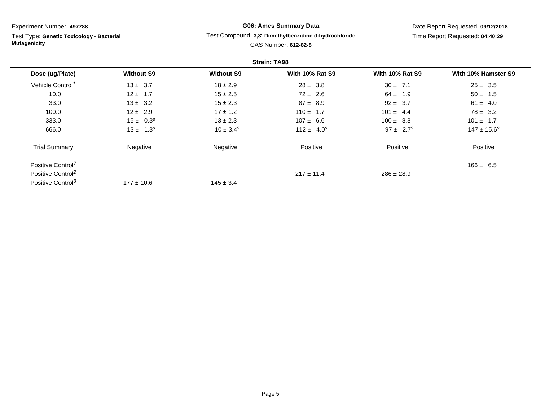Test Type: **Genetic Toxicology - Bacterial Mutagenicity**

#### **G06: Ames Summary Data**Test Compound: **3,3'-Dimethylbenzidine dihydrochloride**

Date Report Requested: **09/12/2018**Time Report Requested: **04:40:29**

|                               |                   |                   | <b>Strain: TA98</b>    |                        |                     |
|-------------------------------|-------------------|-------------------|------------------------|------------------------|---------------------|
| Dose (ug/Plate)               | <b>Without S9</b> | <b>Without S9</b> | <b>With 10% Rat S9</b> | <b>With 10% Rat S9</b> | With 10% Hamster S9 |
| Vehicle Control <sup>1</sup>  | $13 \pm 3.7$      | $18 \pm 2.9$      | $28 \pm 3.8$           | $30 \pm 7.1$           | $25 \pm 3.5$        |
| 10.0                          | $12 \pm 1.7$      | $15 \pm 2.5$      | $72 \pm 2.6$           | $64 \pm 1.9$           | $50 \pm 1.5$        |
| 33.0                          | $13 \pm 3.2$      | $15 \pm 2.3$      | $87 \pm 8.9$           | $92 \pm 3.7$           | $61 \pm 4.0$        |
| 100.0                         | $12 \pm 2.9$      | $17 \pm 1.2$      | $110 \pm 1.7$          | $101 \pm 4.4$          | $78 \pm 3.2$        |
| 333.0                         | $15 \pm 0.3^s$    | $13 \pm 2.3$      | $107 \pm 6.6$          | $100 \pm 8.8$          | $101 \pm 1.7$       |
| 666.0                         | $13 \pm 1.3^s$    | $10 \pm 3.4^s$    | $112 \pm 4.0^s$        | $97 \pm 2.7^s$         | $147 \pm 15.6^s$    |
| <b>Trial Summary</b>          | Negative          | Negative          | Positive               | Positive               | Positive            |
| Positive Control <sup>7</sup> |                   |                   |                        |                        | $166 \pm 6.5$       |
| Positive Control <sup>2</sup> |                   |                   | $217 \pm 11.4$         | $286 \pm 28.9$         |                     |
| Positive Control <sup>8</sup> | $177 \pm 10.6$    | $145 \pm 3.4$     |                        |                        |                     |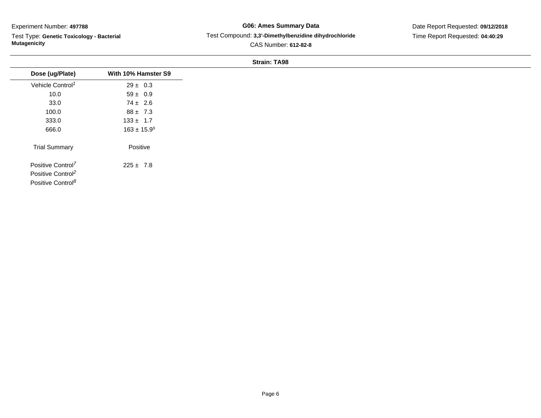Test Type: **Genetic Toxicology - Bacterial Mutagenicity**

#### **G06: Ames Summary Data** Test Compound: **3,3'-Dimethylbenzidine dihydrochloride**CAS Number: **612-82-8**

Date Report Requested: **09/12/2018**Time Report Requested: **04:40:29**

#### **Strain: TA98**

| Dose (ug/Plate)               | With 10% Hamster S9 |
|-------------------------------|---------------------|
| Vehicle Control <sup>1</sup>  | $29 \pm 0.3$        |
| 10.0                          | $59 \pm 0.9$        |
| 33.0                          | $74 \pm 2.6$        |
| 100.0                         | $88 \pm 7.3$        |
| 333.0                         | $133 \pm 1.7$       |
| 666.0                         | $163 \pm 15.9^s$    |
| <b>Trial Summary</b>          | Positive            |
| Positive Control <sup>7</sup> | $225 \pm 7.8$       |
| Positive Control <sup>2</sup> |                     |
| Positive Control <sup>8</sup> |                     |